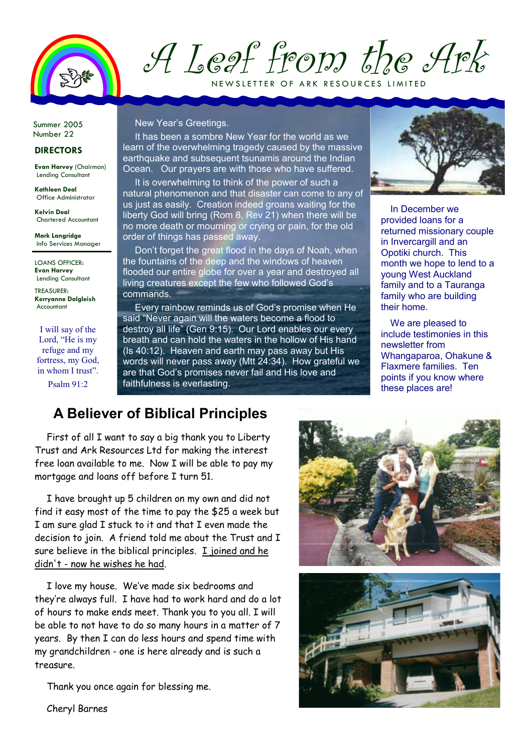

A Leaf from the Ark

NEW SLETTER OF ARK RESOURCES LIMITED

Summer 2005 Number 22

#### DIRECTORS

Evan Harvey (Chairman) Lending Consultant

Kathleen Deal Office Administrator

Kelvin Deal Chartered Accountant

Mark Langridge Info Services Manager

LOANS OFFICER: Evan Harvey Lending Consultant

TREASURER: Kerryanne Dalgleish Accountant

I will say of the Lord, "He is my refuge and my fortress, my God. in whom I trust" Psalm 91:2

#### New Year's Greetings.

It has been a sombre New Year for the world as we learn of the overwhelming tragedy caused by the massive earthquake and subsequent tsunamis around the Indian Ocean. Our prayers are with those who have suffered.

It is overwhelming to think of the power of such a natural phenomenon and that disaster can come to any of us just as easily. Creation indeed groans waiting for the liberty God will bring (Rom 8, Rev 21) when there will be no more death or mourning or crying or pain, for the old order of things has passed away.

Don't forget the great flood in the days of Noah, when the fountains of the deep and the windows of heaven flooded our entire globe for over a year and destroyed all living creatures except the few who followed God's commands.

Every rainbow reminds us of God's promise when He said "Never again will the waters become a flood to destroy all life" (Gen 9:15). Our Lord enables our every breath and can hold the waters in the hollow of His hand (Is 40:12). Heaven and earth may pass away but His words will never pass away (Mtt 24:34). How grateful we are that God's promises never fail and His love and faithfulness is everlasting.



In December we provided loans for a returned missionary couple in Invercargill and an Opotiki church. This month we hope to lend to a young West Auckland family and to a Tauranga family who are building their home.

We are pleased to include testimonies in this newsletter from Whangaparoa, Ohakune & Flaxmere families. Ten points if you know where these places are!

## A Believer of Biblical Principles

First of all I want to say a big thank you to Liberty Trust and Ark Resources Ltd for making the interest free loan available to me. Now I will be able to pay my mortgage and loans off before I turn 51.

I have brought up 5 children on my own and did not find it easy most of the time to pay the \$25 a week but I am sure glad I stuck to it and that I even made the decision to join. A friend told me about the Trust and I sure believe in the biblical principles. I joined and he didn't - now he wishes he had.

I love my house. We've made six bedrooms and they're always full. I have had to work hard and do a lot of hours to make ends meet. Thank you to you all. I will be able to not have to do so many hours in a matter of 7 years. By then I can do less hours and spend time with my grandchildren - one is here already and is such a treasure.

Thank you once again for blessing me.





Cheryl Barnes